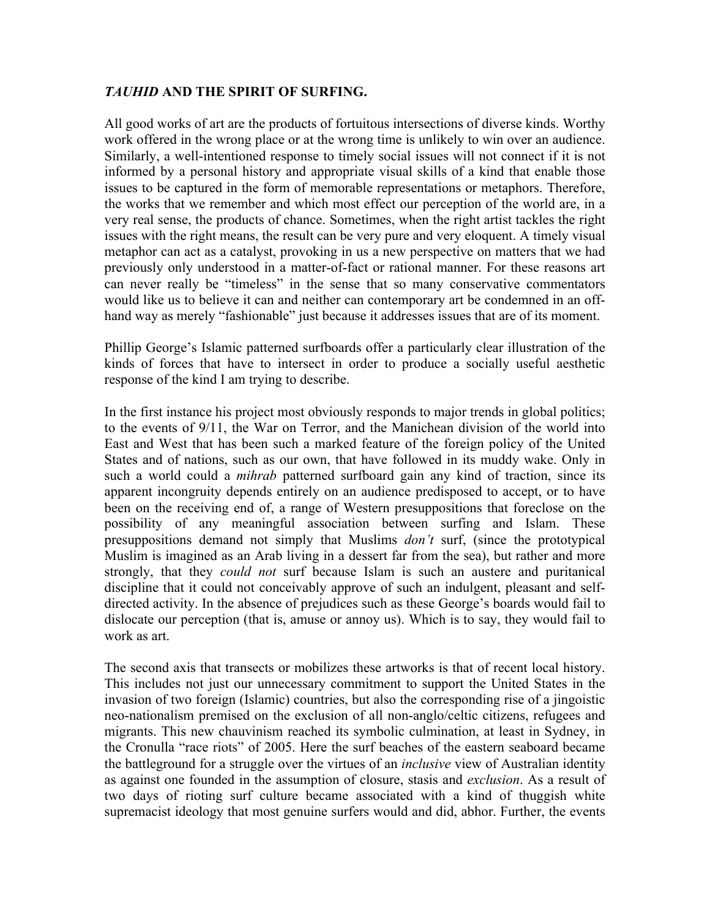## *TAUHID* **AND THE SPIRIT OF SURFING.**

All good works of art are the products of fortuitous intersections of diverse kinds. Worthy work offered in the wrong place or at the wrong time is unlikely to win over an audience. Similarly, a well-intentioned response to timely social issues will not connect if it is not informed by a personal history and appropriate visual skills of a kind that enable those issues to be captured in the form of memorable representations or metaphors. Therefore, the works that we remember and which most effect our perception of the world are, in a very real sense, the products of chance. Sometimes, when the right artist tackles the right issues with the right means, the result can be very pure and very eloquent. A timely visual metaphor can act as a catalyst, provoking in us a new perspective on matters that we had previously only understood in a matter-of-fact or rational manner. For these reasons art can never really be "timeless" in the sense that so many conservative commentators would like us to believe it can and neither can contemporary art be condemned in an offhand way as merely "fashionable" just because it addresses issues that are of its moment.

Phillip George's Islamic patterned surfboards offer a particularly clear illustration of the kinds of forces that have to intersect in order to produce a socially useful aesthetic response of the kind I am trying to describe.

In the first instance his project most obviously responds to major trends in global politics; to the events of 9/11, the War on Terror, and the Manichean division of the world into East and West that has been such a marked feature of the foreign policy of the United States and of nations, such as our own, that have followed in its muddy wake. Only in such a world could a *mihrab* patterned surfboard gain any kind of traction, since its apparent incongruity depends entirely on an audience predisposed to accept, or to have been on the receiving end of, a range of Western presuppositions that foreclose on the possibility of any meaningful association between surfing and Islam. These presuppositions demand not simply that Muslims *don't* surf, (since the prototypical Muslim is imagined as an Arab living in a dessert far from the sea), but rather and more strongly, that they *could not* surf because Islam is such an austere and puritanical discipline that it could not conceivably approve of such an indulgent, pleasant and selfdirected activity. In the absence of prejudices such as these George's boards would fail to dislocate our perception (that is, amuse or annoy us). Which is to say, they would fail to work as art.

The second axis that transects or mobilizes these artworks is that of recent local history. This includes not just our unnecessary commitment to support the United States in the invasion of two foreign (Islamic) countries, but also the corresponding rise of a jingoistic neo-nationalism premised on the exclusion of all non-anglo/celtic citizens, refugees and migrants. This new chauvinism reached its symbolic culmination, at least in Sydney, in the Cronulla "race riots" of 2005. Here the surf beaches of the eastern seaboard became the battleground for a struggle over the virtues of an *inclusive* view of Australian identity as against one founded in the assumption of closure, stasis and *exclusion*. As a result of two days of rioting surf culture became associated with a kind of thuggish white supremacist ideology that most genuine surfers would and did, abhor. Further, the events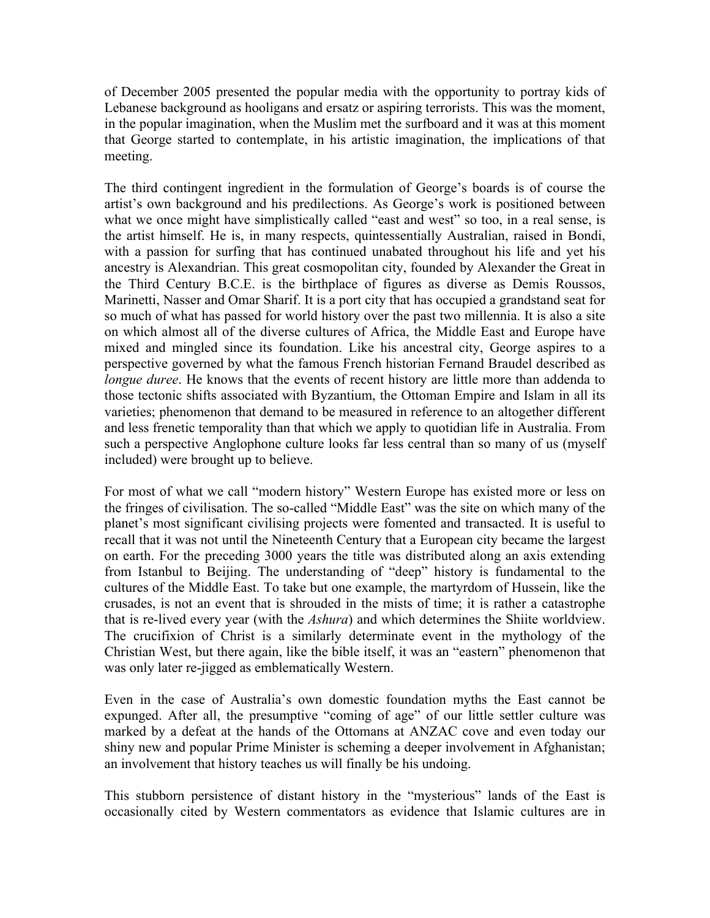of December 2005 presented the popular media with the opportunity to portray kids of Lebanese background as hooligans and ersatz or aspiring terrorists. This was the moment, in the popular imagination, when the Muslim met the surfboard and it was at this moment that George started to contemplate, in his artistic imagination, the implications of that meeting.

The third contingent ingredient in the formulation of George's boards is of course the artist's own background and his predilections. As George's work is positioned between what we once might have simplistically called "east and west" so too, in a real sense, is the artist himself. He is, in many respects, quintessentially Australian, raised in Bondi, with a passion for surfing that has continued unabated throughout his life and yet his ancestry is Alexandrian. This great cosmopolitan city, founded by Alexander the Great in the Third Century B.C.E. is the birthplace of figures as diverse as Demis Roussos, Marinetti, Nasser and Omar Sharif. It is a port city that has occupied a grandstand seat for so much of what has passed for world history over the past two millennia. It is also a site on which almost all of the diverse cultures of Africa, the Middle East and Europe have mixed and mingled since its foundation. Like his ancestral city, George aspires to a perspective governed by what the famous French historian Fernand Braudel described as *longue duree*. He knows that the events of recent history are little more than addenda to those tectonic shifts associated with Byzantium, the Ottoman Empire and Islam in all its varieties; phenomenon that demand to be measured in reference to an altogether different and less frenetic temporality than that which we apply to quotidian life in Australia. From such a perspective Anglophone culture looks far less central than so many of us (myself included) were brought up to believe.

For most of what we call "modern history" Western Europe has existed more or less on the fringes of civilisation. The so-called "Middle East" was the site on which many of the planet's most significant civilising projects were fomented and transacted. It is useful to recall that it was not until the Nineteenth Century that a European city became the largest on earth. For the preceding 3000 years the title was distributed along an axis extending from Istanbul to Beijing. The understanding of "deep" history is fundamental to the cultures of the Middle East. To take but one example, the martyrdom of Hussein, like the crusades, is not an event that is shrouded in the mists of time; it is rather a catastrophe that is re-lived every year (with the *Ashura*) and which determines the Shiite worldview. The crucifixion of Christ is a similarly determinate event in the mythology of the Christian West, but there again, like the bible itself, it was an "eastern" phenomenon that was only later re-jigged as emblematically Western.

Even in the case of Australia's own domestic foundation myths the East cannot be expunged. After all, the presumptive "coming of age" of our little settler culture was marked by a defeat at the hands of the Ottomans at ANZAC cove and even today our shiny new and popular Prime Minister is scheming a deeper involvement in Afghanistan; an involvement that history teaches us will finally be his undoing.

This stubborn persistence of distant history in the "mysterious" lands of the East is occasionally cited by Western commentators as evidence that Islamic cultures are in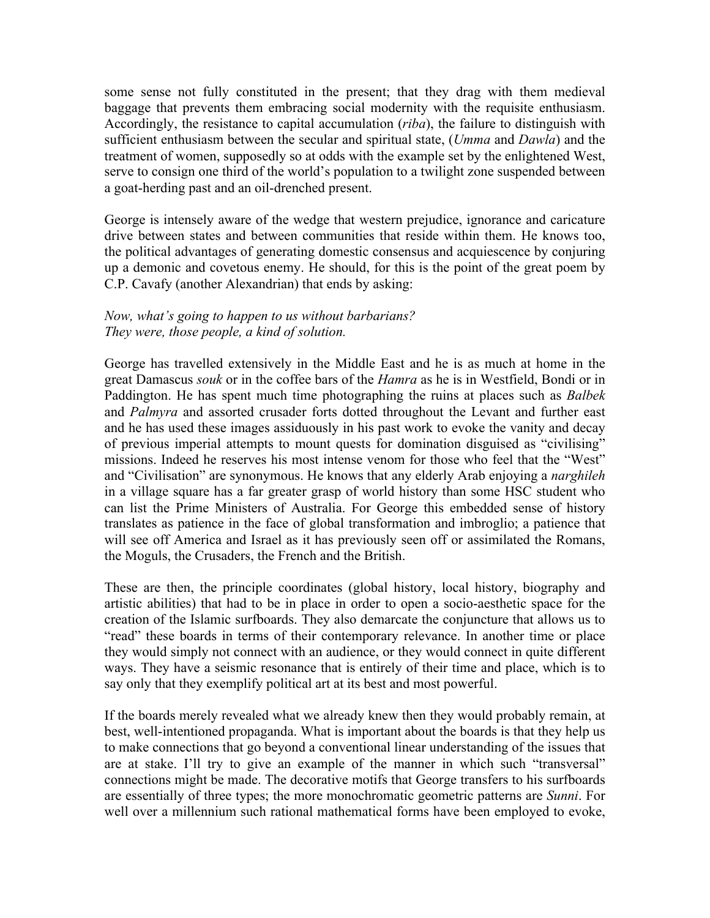some sense not fully constituted in the present; that they drag with them medieval baggage that prevents them embracing social modernity with the requisite enthusiasm. Accordingly, the resistance to capital accumulation (*riba*), the failure to distinguish with sufficient enthusiasm between the secular and spiritual state, (*Umma* and *Dawla*) and the treatment of women, supposedly so at odds with the example set by the enlightened West, serve to consign one third of the world's population to a twilight zone suspended between a goat-herding past and an oil-drenched present.

George is intensely aware of the wedge that western prejudice, ignorance and caricature drive between states and between communities that reside within them. He knows too, the political advantages of generating domestic consensus and acquiescence by conjuring up a demonic and covetous enemy. He should, for this is the point of the great poem by C.P. Cavafy (another Alexandrian) that ends by asking:

## *Now, what's going to happen to us without barbarians? They were, those people, a kind of solution.*

George has travelled extensively in the Middle East and he is as much at home in the great Damascus *souk* or in the coffee bars of the *Hamra* as he is in Westfield, Bondi or in Paddington. He has spent much time photographing the ruins at places such as *Balbek* and *Palmyra* and assorted crusader forts dotted throughout the Levant and further east and he has used these images assiduously in his past work to evoke the vanity and decay of previous imperial attempts to mount quests for domination disguised as "civilising" missions. Indeed he reserves his most intense venom for those who feel that the "West" and "Civilisation" are synonymous. He knows that any elderly Arab enjoying a *narghileh* in a village square has a far greater grasp of world history than some HSC student who can list the Prime Ministers of Australia. For George this embedded sense of history translates as patience in the face of global transformation and imbroglio; a patience that will see off America and Israel as it has previously seen off or assimilated the Romans, the Moguls, the Crusaders, the French and the British.

These are then, the principle coordinates (global history, local history, biography and artistic abilities) that had to be in place in order to open a socio-aesthetic space for the creation of the Islamic surfboards. They also demarcate the conjuncture that allows us to "read" these boards in terms of their contemporary relevance. In another time or place they would simply not connect with an audience, or they would connect in quite different ways. They have a seismic resonance that is entirely of their time and place, which is to say only that they exemplify political art at its best and most powerful.

If the boards merely revealed what we already knew then they would probably remain, at best, well-intentioned propaganda. What is important about the boards is that they help us to make connections that go beyond a conventional linear understanding of the issues that are at stake. I'll try to give an example of the manner in which such "transversal" connections might be made. The decorative motifs that George transfers to his surfboards are essentially of three types; the more monochromatic geometric patterns are *Sunni*. For well over a millennium such rational mathematical forms have been employed to evoke,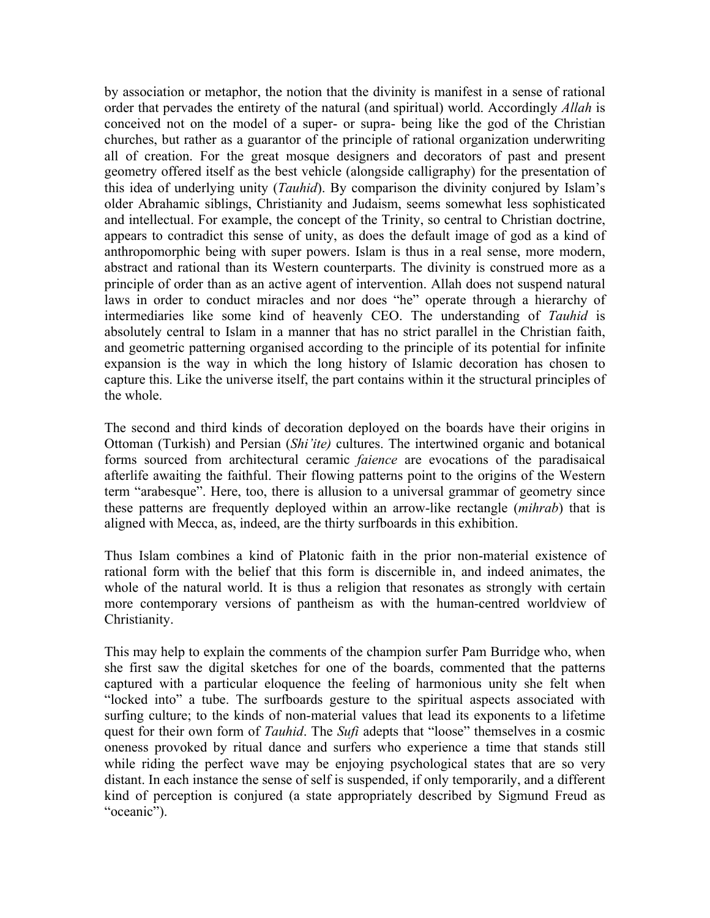by association or metaphor, the notion that the divinity is manifest in a sense of rational order that pervades the entirety of the natural (and spiritual) world. Accordingly *Allah* is conceived not on the model of a super- or supra- being like the god of the Christian churches, but rather as a guarantor of the principle of rational organization underwriting all of creation. For the great mosque designers and decorators of past and present geometry offered itself as the best vehicle (alongside calligraphy) for the presentation of this idea of underlying unity (*Tauhid*). By comparison the divinity conjured by Islam's older Abrahamic siblings, Christianity and Judaism, seems somewhat less sophisticated and intellectual. For example, the concept of the Trinity, so central to Christian doctrine, appears to contradict this sense of unity, as does the default image of god as a kind of anthropomorphic being with super powers. Islam is thus in a real sense, more modern, abstract and rational than its Western counterparts. The divinity is construed more as a principle of order than as an active agent of intervention. Allah does not suspend natural laws in order to conduct miracles and nor does "he" operate through a hierarchy of intermediaries like some kind of heavenly CEO. The understanding of *Tauhid* is absolutely central to Islam in a manner that has no strict parallel in the Christian faith, and geometric patterning organised according to the principle of its potential for infinite expansion is the way in which the long history of Islamic decoration has chosen to capture this. Like the universe itself, the part contains within it the structural principles of the whole.

The second and third kinds of decoration deployed on the boards have their origins in Ottoman (Turkish) and Persian (*Shi'ite)* cultures. The intertwined organic and botanical forms sourced from architectural ceramic *faience* are evocations of the paradisaical afterlife awaiting the faithful. Their flowing patterns point to the origins of the Western term "arabesque". Here, too, there is allusion to a universal grammar of geometry since these patterns are frequently deployed within an arrow-like rectangle (*mihrab*) that is aligned with Mecca, as, indeed, are the thirty surfboards in this exhibition.

Thus Islam combines a kind of Platonic faith in the prior non-material existence of rational form with the belief that this form is discernible in, and indeed animates, the whole of the natural world. It is thus a religion that resonates as strongly with certain more contemporary versions of pantheism as with the human-centred worldview of Christianity.

This may help to explain the comments of the champion surfer Pam Burridge who, when she first saw the digital sketches for one of the boards, commented that the patterns captured with a particular eloquence the feeling of harmonious unity she felt when "locked into" a tube. The surfboards gesture to the spiritual aspects associated with surfing culture; to the kinds of non-material values that lead its exponents to a lifetime quest for their own form of *Tauhid*. The *Sufi* adepts that "loose" themselves in a cosmic oneness provoked by ritual dance and surfers who experience a time that stands still while riding the perfect wave may be enjoying psychological states that are so very distant. In each instance the sense of self is suspended, if only temporarily, and a different kind of perception is conjured (a state appropriately described by Sigmund Freud as "oceanic").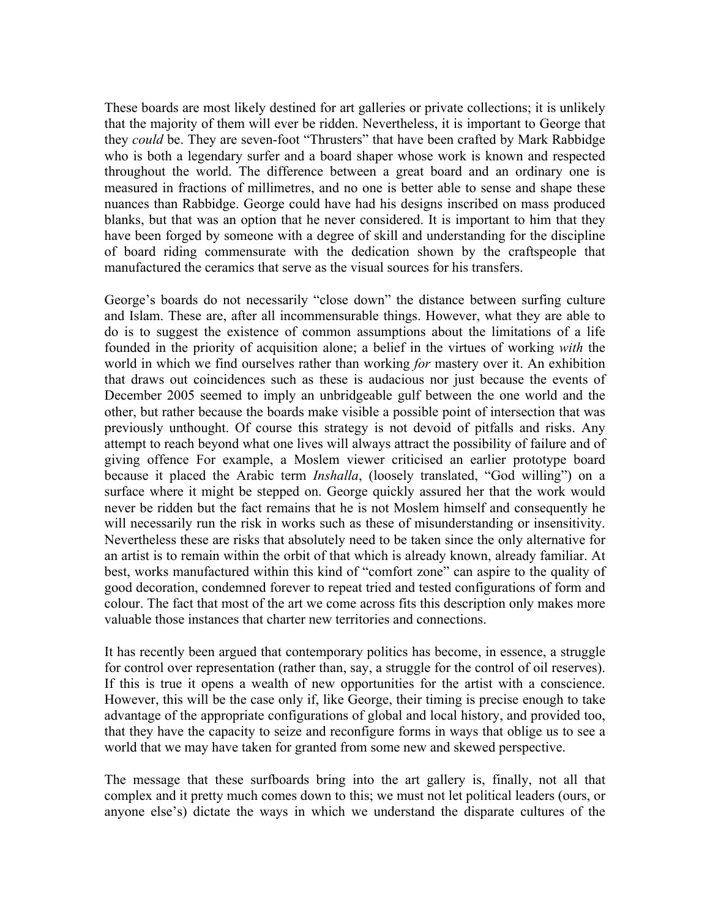These boards are most likely destined for art galleries or private collections; it is unlikely that the majority of them will ever be ridden. Nevertheless, it is important to George that they *could* be. They are seven-foot "Thrusters" that have been crafted by Mark Rabbidge who is both a legendary surfer and a board shaper whose work is known and respected throughout the world. The difference between a great board and an ordinary one is measured in fractions of millimetres, and no one is better able to sense and shape these nuances than Rabbidge. George could have had his designs inscribed on mass produced blanks, but that was an option that he never considered. It is important to him that they have been forged by someone with a degree of skill and understanding for the discipline of board riding commensurate with the dedication shown by the craftspeople that manufactured the ceramics that serve as the visual sources for his transfers.

George's boards do not necessarily "close down" the distance between surfing culture and Islam. These are, after all incommensurable things. However, what they are able to do is to suggest the existence of common assumptions about the limitations of a life founded in the priority of acquisition alone; a belief in the virtues of working *with* the world in which we find ourselves rather than working *for* mastery over it. An exhibition that draws out coincidences such as these is audacious nor just because the events of December 2005 seemed to imply an unbridgeable gulf between the one world and the other, but rather because the boards make visible a possible point of intersection that was previously unthought. Of course this strategy is not devoid of pitfalls and risks. Any attempt to reach beyond what one lives will always attract the possibility of failure and of giving offence For example, a Moslem viewer criticised an earlier prototype board because it placed the Arabic term *Inshalla*, (loosely translated, "God willing") on a surface where it might be stepped on. George quickly assured her that the work would never be ridden but the fact remains that he is not Moslem himself and consequently he will necessarily run the risk in works such as these of misunderstanding or insensitivity. Nevertheless these are risks that absolutely need to be taken since the only alternative for an artist is to remain within the orbit of that which is already known, already familiar. At best, works manufactured within this kind of "comfort zone" can aspire to the quality of good decoration, condemned forever to repeat tried and tested configurations of form and colour. The fact that most of the art we come across fits this description only makes more valuable those instances that charter new territories and connections.

It has recently been argued that contemporary politics has become, in essence, a struggle for control over representation (rather than, say, a struggle for the control of oil reserves). If this is true it opens a wealth of new opportunities for the artist with a conscience. However, this will be the case only if, like George, their timing is precise enough to take advantage of the appropriate configurations of global and local history, and provided too, that they have the capacity to seize and reconfigure forms in ways that oblige us to see a world that we may have taken for granted from some new and skewed perspective.

The message that these surfboards bring into the art gallery is, finally, not all that complex and it pretty much comes down to this; we must not let political leaders (ours, or anyone else's) dictate the ways in which we understand the disparate cultures of the